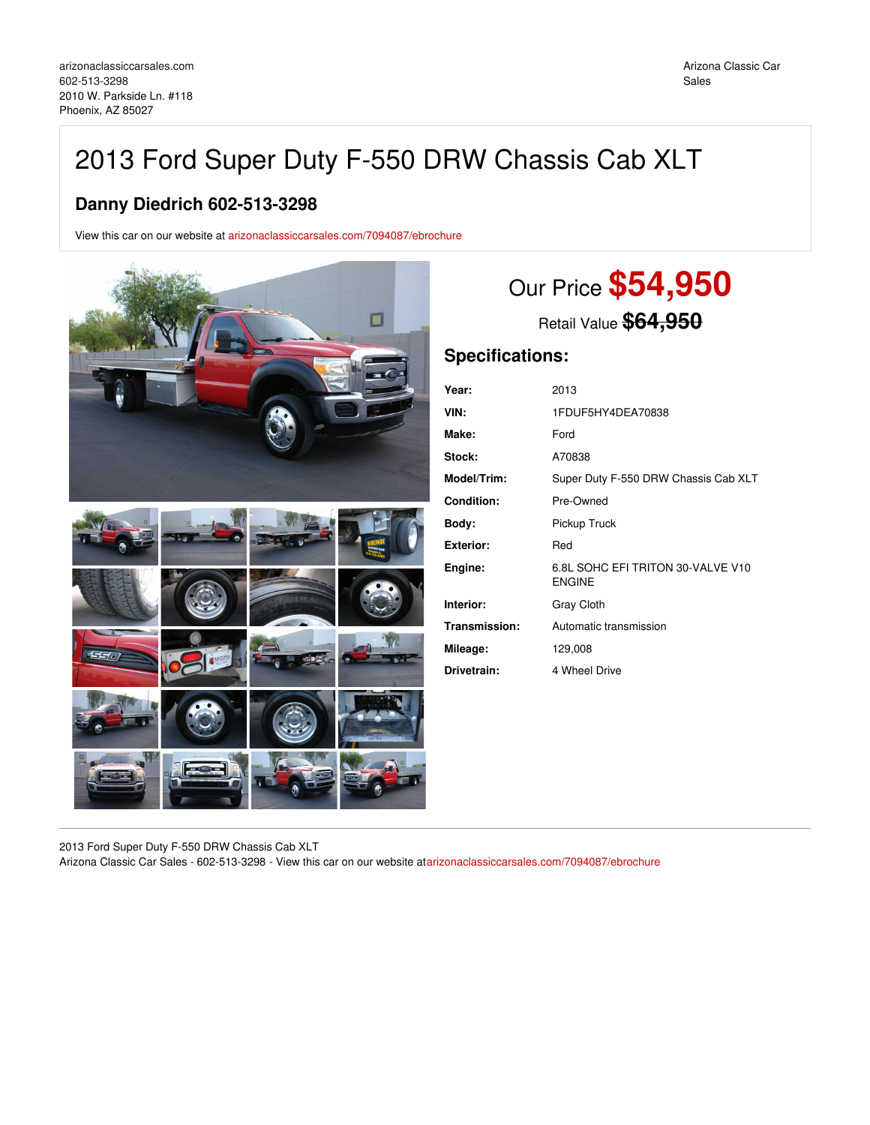# 2013 Ford Super Duty F-550 DRW Chassis Cab XLT

## **Danny Diedrich 602-513-3298**

View this car on our website at [arizonaclassiccarsales.com/7094087/ebrochure](https://arizonaclassiccarsales.com/vehicle/7094087/2013-ford-super-duty-f-550-drw-chassis-cab-xlt-phoenix-az-85027/7094087/ebrochure)



# Our Price **\$54,950**

Retail Value **\$64,950**

## **Specifications:**

| Year:              | 2013                                               |
|--------------------|----------------------------------------------------|
| VIN:               | 1FDUF5HY4DEA70838                                  |
| Make:              | Ford                                               |
| Stock:             | A70838                                             |
| <b>Model/Trim:</b> | Super Duty F-550 DRW Chassis Cab XLT               |
| Condition:         | Pre-Owned                                          |
| Body:              | Pickup Truck                                       |
| Exterior:          | Red                                                |
| Engine:            | 6.8L SOHC EFI TRITON 30-VALVE V10<br><b>ENGINE</b> |
| Interior:          | <b>Gray Cloth</b>                                  |
| Transmission:      | Automatic transmission                             |
| Mileage:           | 129,008                                            |
| Drivetrain:        | 4 Wheel Drive                                      |

2013 Ford Super Duty F-550 DRW Chassis Cab XLT

Arizona Classic Car Sales - 602-513-3298 - View this car on our website at[arizonaclassiccarsales.com/7094087/ebrochure](https://arizonaclassiccarsales.com/vehicle/7094087/2013-ford-super-duty-f-550-drw-chassis-cab-xlt-phoenix-az-85027/7094087/ebrochure)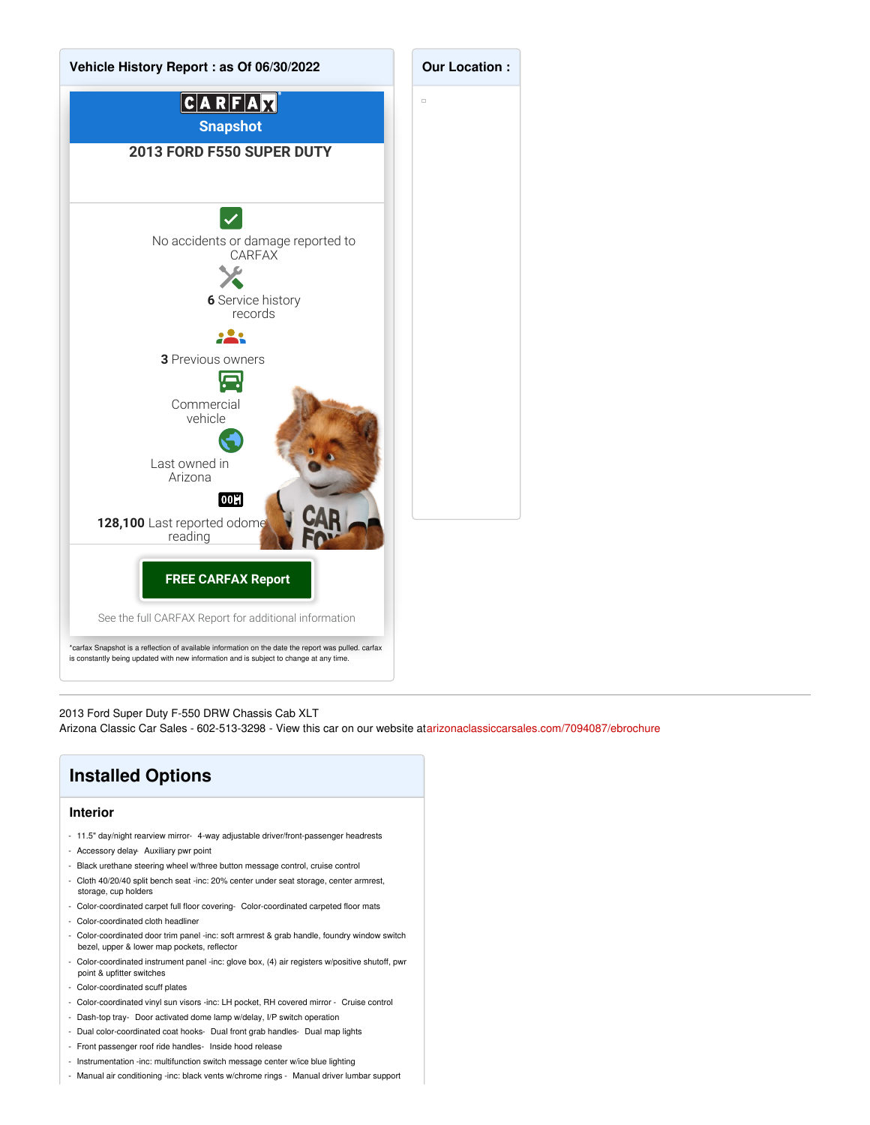

2013 Ford Super Duty F-550 DRW Chassis Cab XLT

Arizona Classic Car Sales - 602-513-3298 - View this car on our website at[arizonaclassiccarsales.com/7094087/ebrochure](https://arizonaclassiccarsales.com/vehicle/7094087/2013-ford-super-duty-f-550-drw-chassis-cab-xlt-phoenix-az-85027/7094087/ebrochure)

# **Installed Options**

### **Interior**

- 11.5" day/night rearview mirror- 4-way adjustable driver/front-passenger headrests
- Accessory delay- Auxiliary pwr point
- Black urethane steering wheel w/three button message control, cruise control
- Cloth 40/20/40 split bench seat -inc: 20% center under seat storage, center armrest, storage, cup holders
- Color-coordinated carpet full floor covering- Color-coordinated carpeted floor mats
- Color-coordinated cloth headliner
- Color-coordinated door trim panel -inc: soft armrest & grab handle, foundry window switch bezel, upper & lower map pockets, reflector
- Color-coordinated instrument panel -inc: glove box, (4) air registers w/positive shutoff, pwr point & upfitter switches
- Color-coordinated scuff plates
- Color-coordinated vinyl sun visors -inc: LH pocket, RH covered mirror Cruise control
- Dash-top tray- Door activated dome lamp w/delay, I/P switch operation
- Dual color-coordinated coat hooks- Dual front grab handles- Dual map lights
- Front passenger roof ride handles- Inside hood release
- Instrumentation -inc: multifunction switch message center w/ice blue lighting
- Manual air conditioning -inc: black vents w/chrome rings Manual driver lumbar support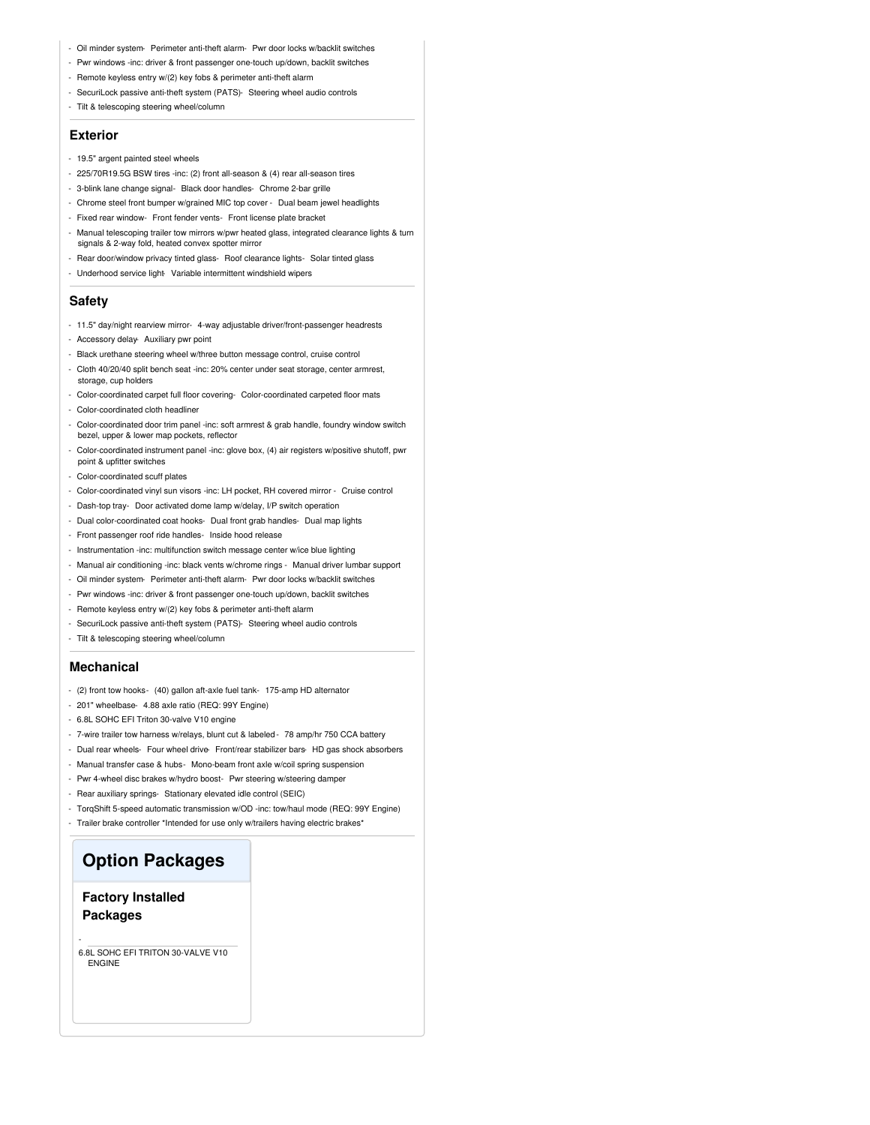- Oil minder system- Perimeter anti-theft alarm- Pwr door locks w/backlit switches
- Pwr windows -inc: driver & front passenger one-touch up/down, backlit switches
- Remote keyless entry w/(2) key fobs & perimeter anti-theft alarm
- SecuriLock passive anti-theft system (PATS)- Steering wheel audio controls
- Tilt & telescoping steering wheel/column

#### **Exterior**

- 19.5" argent painted steel wheels
- 225/70R19.5G BSW tires -inc: (2) front all-season & (4) rear all-season tires
- 3-blink lane change signal- Black door handles- Chrome 2-bar grille
- Chrome steel front bumper w/grained MIC top cover Dual beam jewel headlights
- Fixed rear window- Front fender vents- Front license plate bracket
- Manual telescoping trailer tow mirrors w/pwr heated glass, integrated clearance lights & turn signals & 2-way fold, heated convex spotter mirror
- Rear door/window privacy tinted glass- Roof clearance lights- Solar tinted glass
- Underhood service light- Variable intermittent windshield wipers

#### **Safety**

- 11.5" day/night rearview mirror- 4-way adjustable driver/front-passenger headrests
- Accessory delay- Auxiliary pwr point
- Black urethane steering wheel w/three button message control, cruise control
- Cloth 40/20/40 split bench seat -inc: 20% center under seat storage, center armrest, storage, cup holders
- Color-coordinated carpet full floor covering- Color-coordinated carpeted floor mats
- Color-coordinated cloth headliner
- Color-coordinated door trim panel -inc: soft armrest & grab handle, foundry window switch bezel, upper & lower map pockets, reflector
- Color-coordinated instrument panel -inc: glove box, (4) air registers w/positive shutoff, pwr point & upfitter switches
- Color-coordinated scuff plates
- Color-coordinated vinyl sun visors -inc: LH pocket, RH covered mirror Cruise control
- Dash-top tray- Door activated dome lamp w/delay, I/P switch operation
- Dual color-coordinated coat hooks- Dual front grab handles- Dual map lights
- Front passenger roof ride handles- Inside hood release
- Instrumentation -inc: multifunction switch message center w/ice blue lighting
- Manual air conditioning -inc: black vents w/chrome rings Manual driver lumbar support
- Oil minder system- Perimeter anti-theft alarm- Pwr door locks w/backlit switches
- Pwr windows -inc: driver & front passenger one-touch up/down, backlit switches
- Remote keyless entry w/(2) key fobs & perimeter anti-theft alarm
- SecuriLock passive anti-theft system (PATS)- Steering wheel audio controls
- Tilt & telescoping steering wheel/column

#### **Mechanical**

- (2) front tow hooks- (40) gallon aft-axle fuel tank- 175-amp HD alternator
- 201" wheelbase- 4.88 axle ratio (REQ: 99Y Engine)
- 6.8L SOHC EFI Triton 30-valve V10 engine
- 7-wire trailer tow harness w/relays, blunt cut & labeled 78 amp/hr 750 CCA battery
- Dual rear wheels- Four wheel drive- Front/rear stabilizer bars- HD gas shock absorbers
- Manual transfer case & hubs- Mono-beam front axle w/coil spring suspension
- Pwr 4-wheel disc brakes w/hydro boost- Pwr steering w/steering damper
- Rear auxiliary springs- Stationary elevated idle control (SEIC)
- TorqShift 5-speed automatic transmission w/OD -inc: tow/haul mode (REQ: 99Y Engine)
- Trailer brake controller \*Intended for use only w/trailers having electric brakes\*

## **Option Packages**

### **Factory Installed Packages**

-

6.8L SOHC EFI TRITON 30-VALVE V10 ENGINE